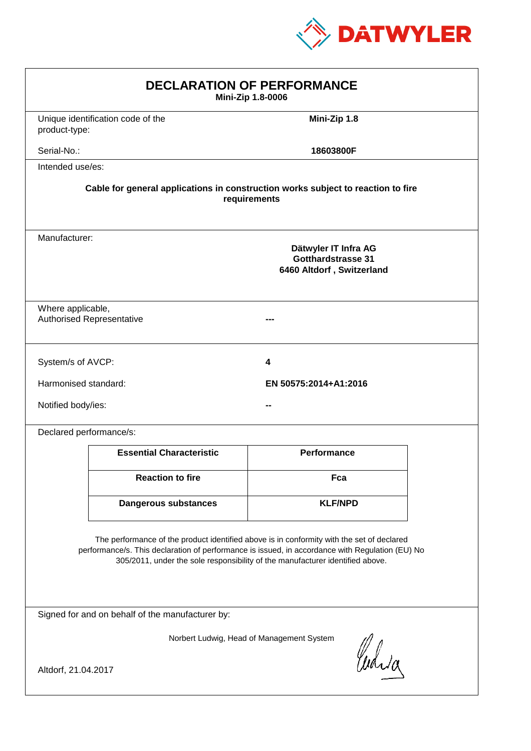

| <b>DECLARATION OF PERFORMANCE</b><br>Mini-Zip 1.8-0006                                                                                                                                                                                                                        |                                                                                                 |                       |  |
|-------------------------------------------------------------------------------------------------------------------------------------------------------------------------------------------------------------------------------------------------------------------------------|-------------------------------------------------------------------------------------------------|-----------------------|--|
| product-type:                                                                                                                                                                                                                                                                 | Unique identification code of the                                                               | Mini-Zip 1.8          |  |
| Serial-No.:                                                                                                                                                                                                                                                                   |                                                                                                 | 18603800F             |  |
| Intended use/es:                                                                                                                                                                                                                                                              |                                                                                                 |                       |  |
| Cable for general applications in construction works subject to reaction to fire<br>requirements                                                                                                                                                                              |                                                                                                 |                       |  |
|                                                                                                                                                                                                                                                                               | Manufacturer:<br>Dätwyler IT Infra AG<br><b>Gotthardstrasse 31</b><br>6460 Altdorf, Switzerland |                       |  |
| Where applicable,                                                                                                                                                                                                                                                             | <b>Authorised Representative</b>                                                                |                       |  |
| System/s of AVCP:                                                                                                                                                                                                                                                             |                                                                                                 | 4                     |  |
| Harmonised standard:                                                                                                                                                                                                                                                          |                                                                                                 | EN 50575:2014+A1:2016 |  |
| Notified body/ies:                                                                                                                                                                                                                                                            |                                                                                                 |                       |  |
| Declared performance/s:                                                                                                                                                                                                                                                       |                                                                                                 |                       |  |
|                                                                                                                                                                                                                                                                               | <b>Essential Characteristic</b>                                                                 | <b>Performance</b>    |  |
|                                                                                                                                                                                                                                                                               | <b>Reaction to fire</b>                                                                         | Fca                   |  |
|                                                                                                                                                                                                                                                                               | Dangerous substances                                                                            | <b>KLF/NPD</b>        |  |
| The performance of the product identified above is in conformity with the set of declared<br>performance/s. This declaration of performance is issued, in accordance with Regulation (EU) No<br>305/2011, under the sole responsibility of the manufacturer identified above. |                                                                                                 |                       |  |
| Signed for and on behalf of the manufacturer by:                                                                                                                                                                                                                              |                                                                                                 |                       |  |
| Norbert Ludwig, Head of Management System<br>Curia                                                                                                                                                                                                                            |                                                                                                 |                       |  |
| Altdorf, 21.04.2017                                                                                                                                                                                                                                                           |                                                                                                 |                       |  |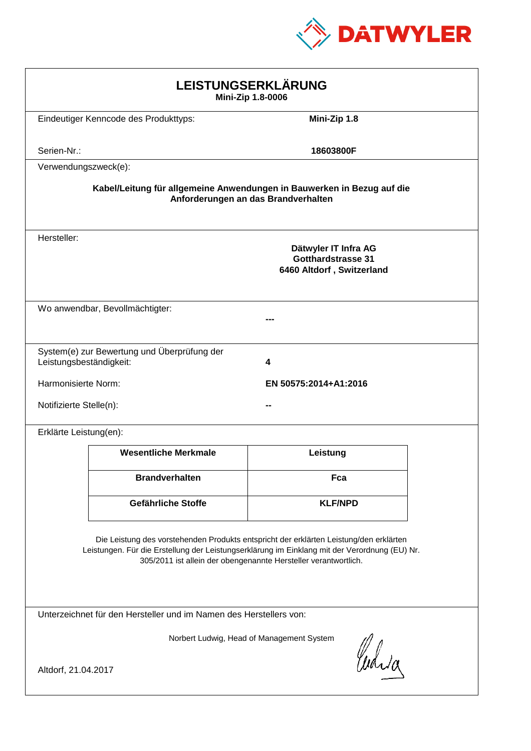

| LEISTUNGSERKLÄRUNG<br>Mini-Zip 1.8-0006                                                                                                                                                                                                                    |                                                                                |                |  |
|------------------------------------------------------------------------------------------------------------------------------------------------------------------------------------------------------------------------------------------------------------|--------------------------------------------------------------------------------|----------------|--|
|                                                                                                                                                                                                                                                            | Eindeutiger Kenncode des Produkttyps:                                          | Mini-Zip 1.8   |  |
| Serien-Nr.:                                                                                                                                                                                                                                                |                                                                                | 18603800F      |  |
| Verwendungszweck(e):                                                                                                                                                                                                                                       |                                                                                |                |  |
| Kabel/Leitung für allgemeine Anwendungen in Bauwerken in Bezug auf die<br>Anforderungen an das Brandverhalten                                                                                                                                              |                                                                                |                |  |
| Hersteller:                                                                                                                                                                                                                                                | Dätwyler IT Infra AG<br><b>Gotthardstrasse 31</b><br>6460 Altdorf, Switzerland |                |  |
|                                                                                                                                                                                                                                                            | Wo anwendbar, Bevollmächtigter:                                                |                |  |
| Leistungsbeständigkeit:                                                                                                                                                                                                                                    | System(e) zur Bewertung und Überprüfung der                                    | 4              |  |
|                                                                                                                                                                                                                                                            | Harmonisierte Norm:<br>EN 50575:2014+A1:2016                                   |                |  |
|                                                                                                                                                                                                                                                            | Notifizierte Stelle(n):                                                        |                |  |
| Erklärte Leistung(en):                                                                                                                                                                                                                                     |                                                                                |                |  |
|                                                                                                                                                                                                                                                            | <b>Wesentliche Merkmale</b>                                                    | Leistung       |  |
|                                                                                                                                                                                                                                                            | <b>Brandverhalten</b>                                                          | Fca            |  |
|                                                                                                                                                                                                                                                            | Gefährliche Stoffe                                                             | <b>KLF/NPD</b> |  |
| Die Leistung des vorstehenden Produkts entspricht der erklärten Leistung/den erklärten<br>Leistungen. Für die Erstellung der Leistungserklärung im Einklang mit der Verordnung (EU) Nr.<br>305/2011 ist allein der obengenannte Hersteller verantwortlich. |                                                                                |                |  |
| Unterzeichnet für den Hersteller und im Namen des Herstellers von:                                                                                                                                                                                         |                                                                                |                |  |
| Norbert Ludwig, Head of Management System<br>Curia<br>Altdorf, 21.04.2017                                                                                                                                                                                  |                                                                                |                |  |
|                                                                                                                                                                                                                                                            |                                                                                |                |  |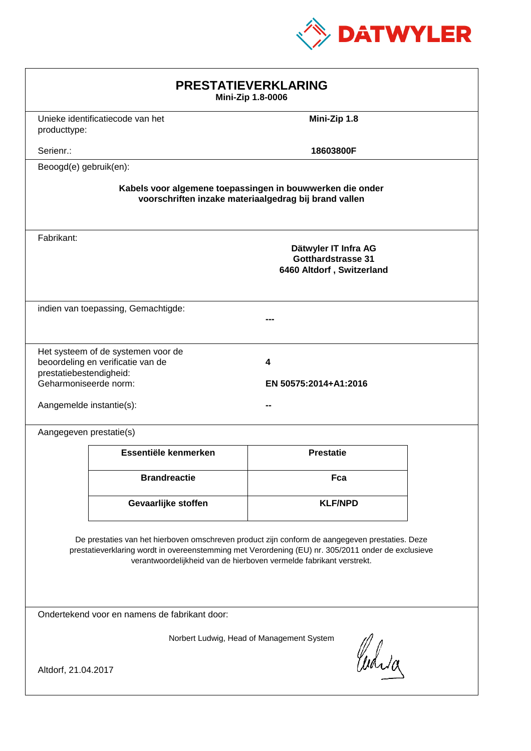

| <b>PRESTATIEVERKLARING</b><br>Mini-Zip 1.8-0006                                                                                                                                                                                                                             |                                                                         |                                                                                |  |
|-----------------------------------------------------------------------------------------------------------------------------------------------------------------------------------------------------------------------------------------------------------------------------|-------------------------------------------------------------------------|--------------------------------------------------------------------------------|--|
| producttype:                                                                                                                                                                                                                                                                | Unieke identificatiecode van het                                        | Mini-Zip 1.8                                                                   |  |
| Serienr.:                                                                                                                                                                                                                                                                   |                                                                         | 18603800F                                                                      |  |
| Beoogd(e) gebruik(en):                                                                                                                                                                                                                                                      |                                                                         |                                                                                |  |
| Kabels voor algemene toepassingen in bouwwerken die onder<br>voorschriften inzake materiaalgedrag bij brand vallen                                                                                                                                                          |                                                                         |                                                                                |  |
| Fabrikant:                                                                                                                                                                                                                                                                  |                                                                         | Dätwyler IT Infra AG<br><b>Gotthardstrasse 31</b><br>6460 Altdorf, Switzerland |  |
| indien van toepassing, Gemachtigde:                                                                                                                                                                                                                                         |                                                                         |                                                                                |  |
| prestatiebestendigheid:<br>Geharmoniseerde norm:<br>Aangemelde instantie(s):                                                                                                                                                                                                | Het systeem of de systemen voor de<br>beoordeling en verificatie van de | 4<br>EN 50575:2014+A1:2016                                                     |  |
| Aangegeven prestatie(s)                                                                                                                                                                                                                                                     |                                                                         |                                                                                |  |
|                                                                                                                                                                                                                                                                             | Essentiële kenmerken                                                    | <b>Prestatie</b>                                                               |  |
|                                                                                                                                                                                                                                                                             | <b>Brandreactie</b>                                                     | Fca                                                                            |  |
|                                                                                                                                                                                                                                                                             | Gevaarlijke stoffen                                                     | <b>KLF/NPD</b>                                                                 |  |
| De prestaties van het hierboven omschreven product zijn conform de aangegeven prestaties. Deze<br>prestatieverklaring wordt in overeenstemming met Verordening (EU) nr. 305/2011 onder de exclusieve<br>verantwoordelijkheid van de hierboven vermelde fabrikant verstrekt. |                                                                         |                                                                                |  |
| Ondertekend voor en namens de fabrikant door:                                                                                                                                                                                                                               |                                                                         |                                                                                |  |
| Norbert Ludwig, Head of Management System<br>Curia<br>Altdorf, 21.04.2017                                                                                                                                                                                                   |                                                                         |                                                                                |  |
|                                                                                                                                                                                                                                                                             |                                                                         |                                                                                |  |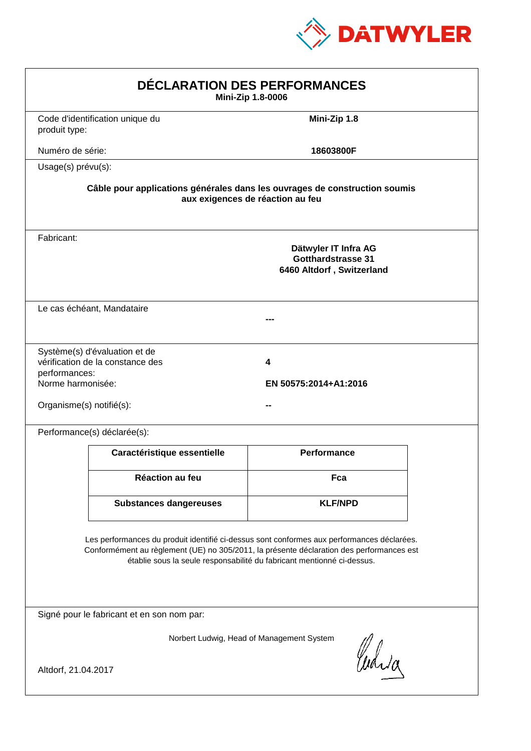

| DÉCLARATION DES PERFORMANCES<br>Mini-Zip 1.8-0006                                                                                                                                                                                                                |                                                                                                                |                                                                         |  |  |
|------------------------------------------------------------------------------------------------------------------------------------------------------------------------------------------------------------------------------------------------------------------|----------------------------------------------------------------------------------------------------------------|-------------------------------------------------------------------------|--|--|
| produit type:                                                                                                                                                                                                                                                    | Code d'identification unique du                                                                                | Mini-Zip 1.8                                                            |  |  |
| Numéro de série:                                                                                                                                                                                                                                                 |                                                                                                                | 18603800F                                                               |  |  |
| Usage(s) prévu(s):                                                                                                                                                                                                                                               |                                                                                                                |                                                                         |  |  |
|                                                                                                                                                                                                                                                                  | Câble pour applications générales dans les ouvrages de construction soumis<br>aux exigences de réaction au feu |                                                                         |  |  |
| Fabricant:                                                                                                                                                                                                                                                       |                                                                                                                | Dätwyler IT Infra AG<br>Gotthardstrasse 31<br>6460 Altdorf, Switzerland |  |  |
|                                                                                                                                                                                                                                                                  | Le cas échéant, Mandataire                                                                                     |                                                                         |  |  |
| performances:<br>Norme harmonisée:<br>Organisme(s) notifié(s):                                                                                                                                                                                                   | Système(s) d'évaluation et de<br>vérification de la constance des                                              | 4<br>EN 50575:2014+A1:2016                                              |  |  |
|                                                                                                                                                                                                                                                                  | Performance(s) déclarée(s):                                                                                    |                                                                         |  |  |
|                                                                                                                                                                                                                                                                  | Caractéristique essentielle                                                                                    | <b>Performance</b>                                                      |  |  |
|                                                                                                                                                                                                                                                                  | <b>Réaction au feu</b>                                                                                         | Fca                                                                     |  |  |
|                                                                                                                                                                                                                                                                  | <b>Substances dangereuses</b>                                                                                  | <b>KLF/NPD</b>                                                          |  |  |
| Les performances du produit identifié ci-dessus sont conformes aux performances déclarées.<br>Conformément au règlement (UE) no 305/2011, la présente déclaration des performances est<br>établie sous la seule responsabilité du fabricant mentionné ci-dessus. |                                                                                                                |                                                                         |  |  |
| Signé pour le fabricant et en son nom par:                                                                                                                                                                                                                       |                                                                                                                |                                                                         |  |  |
| Norbert Ludwig, Head of Management System<br>Curia<br>Altdorf, 21.04.2017                                                                                                                                                                                        |                                                                                                                |                                                                         |  |  |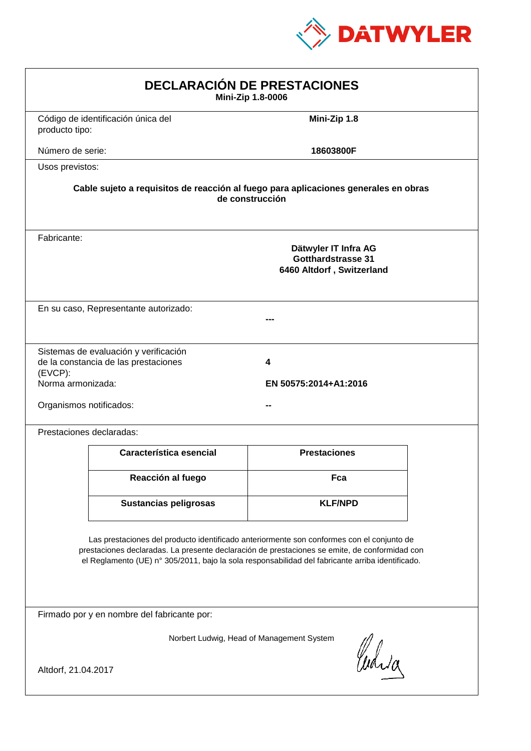

| <b>DECLARACIÓN DE PRESTACIONES</b><br>Mini-Zip 1.8-0006                                                                                                                                                                                                                                        |                     |  |  |
|------------------------------------------------------------------------------------------------------------------------------------------------------------------------------------------------------------------------------------------------------------------------------------------------|---------------------|--|--|
| Código de identificación única del<br>producto tipo:                                                                                                                                                                                                                                           | Mini-Zip 1.8        |  |  |
| Número de serie:                                                                                                                                                                                                                                                                               | 18603800F           |  |  |
| Usos previstos:                                                                                                                                                                                                                                                                                |                     |  |  |
| Cable sujeto a requisitos de reacción al fuego para aplicaciones generales en obras<br>de construcción                                                                                                                                                                                         |                     |  |  |
| Fabricante:<br>Dätwyler IT Infra AG<br>Gotthardstrasse 31<br>6460 Altdorf, Switzerland                                                                                                                                                                                                         |                     |  |  |
| En su caso, Representante autorizado:                                                                                                                                                                                                                                                          |                     |  |  |
| Sistemas de evaluación y verificación<br>de la constancia de las prestaciones<br>4<br>$(EVCP)$ :<br>Norma armonizada:<br>EN 50575:2014+A1:2016<br>Organismos notificados:                                                                                                                      |                     |  |  |
| Prestaciones declaradas:                                                                                                                                                                                                                                                                       |                     |  |  |
| Característica esencial                                                                                                                                                                                                                                                                        | <b>Prestaciones</b> |  |  |
| Reacción al fuego                                                                                                                                                                                                                                                                              | Fca                 |  |  |
| <b>Sustancias peligrosas</b>                                                                                                                                                                                                                                                                   | <b>KLF/NPD</b>      |  |  |
| Las prestaciones del producto identificado anteriormente son conformes con el conjunto de<br>prestaciones declaradas. La presente declaración de prestaciones se emite, de conformidad con<br>el Reglamento (UE) nº 305/2011, bajo la sola responsabilidad del fabricante arriba identificado. |                     |  |  |
| Firmado por y en nombre del fabricante por:                                                                                                                                                                                                                                                    |                     |  |  |
| Norbert Ludwig, Head of Management System<br>anda<br>Altdorf, 21.04.2017                                                                                                                                                                                                                       |                     |  |  |